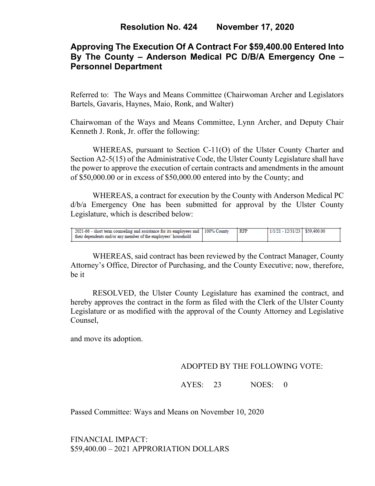# **Approving The Execution Of A Contract For \$59,400.00 Entered Into By The County – Anderson Medical PC D/B/A Emergency One – Personnel Department**

Referred to: The Ways and Means Committee (Chairwoman Archer and Legislators Bartels, Gavaris, Haynes, Maio, Ronk, and Walter)

Chairwoman of the Ways and Means Committee, Lynn Archer, and Deputy Chair Kenneth J. Ronk, Jr. offer the following:

WHEREAS, pursuant to Section C-11(O) of the Ulster County Charter and Section A2-5(15) of the Administrative Code, the Ulster County Legislature shall have the power to approve the execution of certain contracts and amendments in the amount of \$50,000.00 or in excess of \$50,000.00 entered into by the County; and

WHEREAS, a contract for execution by the County with Anderson Medical PC d/b/a Emergency One has been submitted for approval by the Ulster County Legislature, which is described below:

| 2021-66 - short term counseling and assistance for its employees and 100% County<br>their dependents and/or any member of the employees' household | <b>RFP</b> | 1/1/21 - 12/31/23   \$59,400.00 |  |
|----------------------------------------------------------------------------------------------------------------------------------------------------|------------|---------------------------------|--|

WHEREAS, said contract has been reviewed by the Contract Manager, County Attorney's Office, Director of Purchasing, and the County Executive; now, therefore, be it

RESOLVED, the Ulster County Legislature has examined the contract, and hereby approves the contract in the form as filed with the Clerk of the Ulster County Legislature or as modified with the approval of the County Attorney and Legislative Counsel,

and move its adoption.

## ADOPTED BY THE FOLLOWING VOTE:

AYES: 23 NOES: 0

Passed Committee: Ways and Means on November 10, 2020

FINANCIAL IMPACT: \$59,400.00 – 2021 APPRORIATION DOLLARS